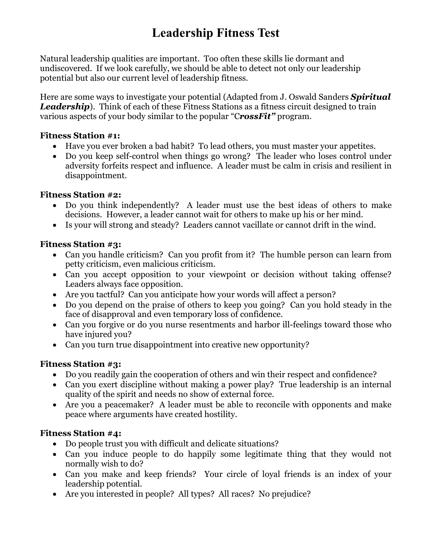# **Leadership Fitness Test**

Natural leadership qualities are important. Too often these skills lie dormant and undiscovered. If we look carefully, we should be able to detect not only our leadership potential but also our current level of leadership fitness.

Here are some ways to investigate your potential (Adapted from J. Oswald Sanders *Spiritual*  **Leadership**). Think of each of these Fitness Stations as a fitness circuit designed to train various aspects of your body similar to the popular "C*rossFit"* program.

### **Fitness Station #1:**

- Have you ever broken a bad habit? To lead others, you must master your appetites.
- Do you keep self-control when things go wrong? The leader who loses control under adversity forfeits respect and influence. A leader must be calm in crisis and resilient in disappointment.

### **Fitness Station #2:**

- Do you think independently? A leader must use the best ideas of others to make decisions. However, a leader cannot wait for others to make up his or her mind.
- Is your will strong and steady? Leaders cannot vacillate or cannot drift in the wind.

### **Fitness Station #3:**

- Can you handle criticism? Can you profit from it? The humble person can learn from petty criticism, even malicious criticism.
- Can you accept opposition to your viewpoint or decision without taking offense? Leaders always face opposition.
- Are you tactful? Can you anticipate how your words will affect a person?
- Do you depend on the praise of others to keep you going? Can you hold steady in the face of disapproval and even temporary loss of confidence.
- Can you forgive or do you nurse resentments and harbor ill-feelings toward those who have injured you?
- Can you turn true disappointment into creative new opportunity?

### **Fitness Station #3:**

- Do you readily gain the cooperation of others and win their respect and confidence?
- Can you exert discipline without making a power play? True leadership is an internal quality of the spirit and needs no show of external force.
- Are you a peacemaker? A leader must be able to reconcile with opponents and make peace where arguments have created hostility.

### **Fitness Station #4:**

- Do people trust you with difficult and delicate situations?
- Can you induce people to do happily some legitimate thing that they would not normally wish to do?
- Can you make and keep friends? Your circle of loyal friends is an index of your leadership potential.
- Are you interested in people? All types? All races? No prejudice?